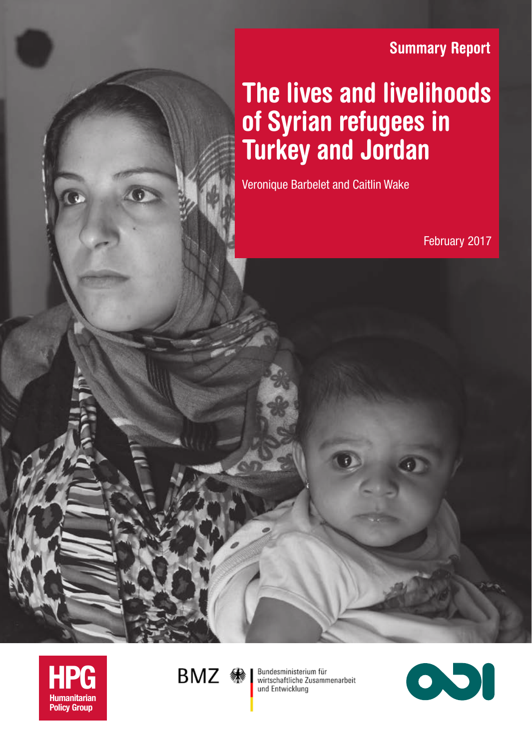**Summary Report**

## **The lives and livelihoods of Syrian refugees in Turkey and Jordan**

Veronique Barbelet and Caitlin Wake

February 2017





Bundesministerium für wirtschaftliche Zusammenarbeit und Entwicklung

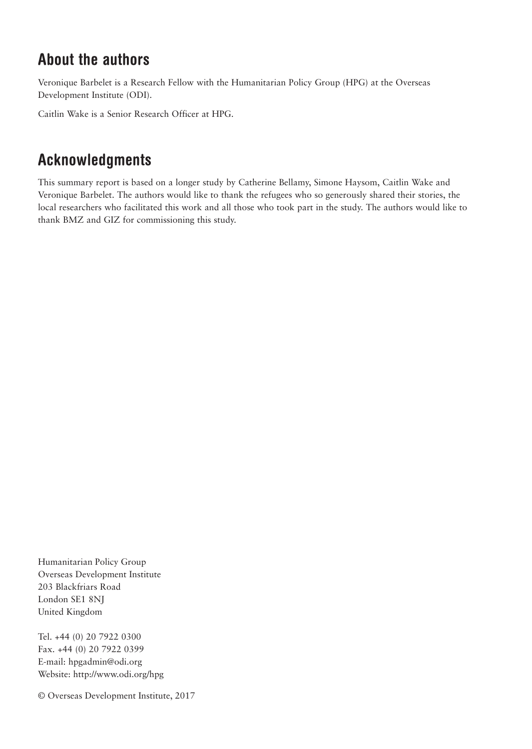## **About the authors**

Veronique Barbelet is a Research Fellow with the Humanitarian Policy Group (HPG) at the Overseas Development Institute (ODI).

Caitlin Wake is a Senior Research Officer at HPG.

## **Acknowledgments**

This summary report is based on a longer study by Catherine Bellamy, Simone Haysom, Caitlin Wake and Veronique Barbelet. The authors would like to thank the refugees who so generously shared their stories, the local researchers who facilitated this work and all those who took part in the study. The authors would like to thank BMZ and GIZ for commissioning this study.

Humanitarian Policy Group Overseas Development Institute 203 Blackfriars Road London SE1 8NJ United Kingdom

Tel. +44 (0) 20 7922 0300 Fax. +44 (0) 20 7922 0399 E-mail: hpgadmin@odi.org Website: http://www.odi.org/hpg

© Overseas Development Institute, 2017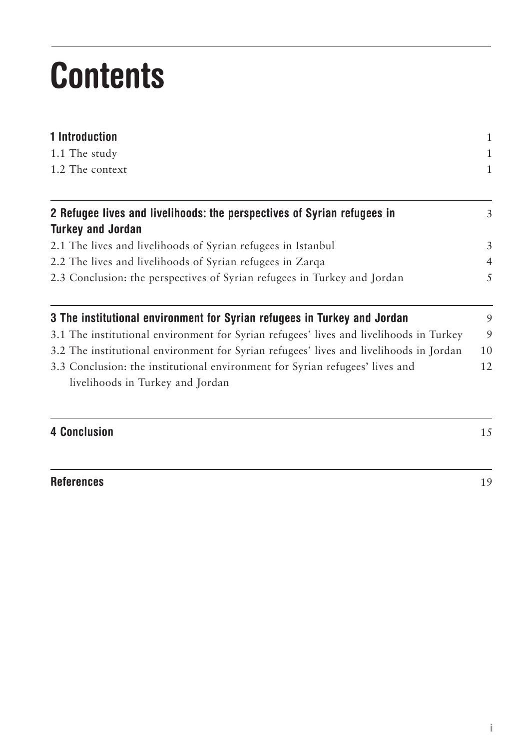# **Contents**

| <b>1 Introduction</b><br>1.1 The study<br>1.2 The context                | $\mathbf{1}$<br>$\mathbf{1}$<br>$\mathbf{1}$ |                                                                                                     |                |
|--------------------------------------------------------------------------|----------------------------------------------|-----------------------------------------------------------------------------------------------------|----------------|
|                                                                          |                                              | 2 Refugee lives and livelihoods: the perspectives of Syrian refugees in<br><b>Turkey and Jordan</b> | 3              |
|                                                                          |                                              | 2.1 The lives and livelihoods of Syrian refugees in Istanbul                                        | $\mathfrak{Z}$ |
| 2.2 The lives and livelihoods of Syrian refugees in Zarga                | $\overline{4}$                               |                                                                                                     |                |
| 2.3 Conclusion: the perspectives of Syrian refugees in Turkey and Jordan | $\mathcal{F}$                                |                                                                                                     |                |

| 3 The institutional environment for Syrian refugees in Turkey and Jordan               | 9  |
|----------------------------------------------------------------------------------------|----|
| 3.1 The institutional environment for Syrian refugees' lives and livelihoods in Turkey | 9  |
| 3.2 The institutional environment for Syrian refugees' lives and livelihoods in Jordan | 10 |
| 3.3 Conclusion: the institutional environment for Syrian refugees' lives and           | 12 |
| livelihoods in Turkey and Jordan                                                       |    |

### **4 Conclusion** 15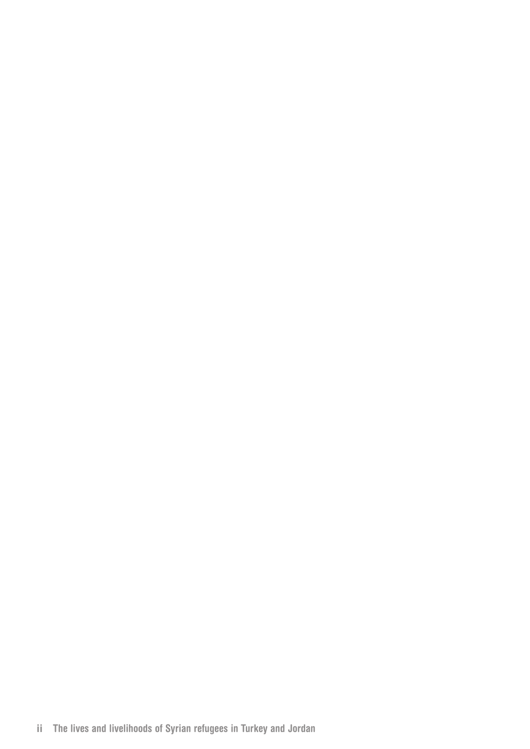**ii The lives and livelihoods of Syrian refugees in Turkey and Jordan**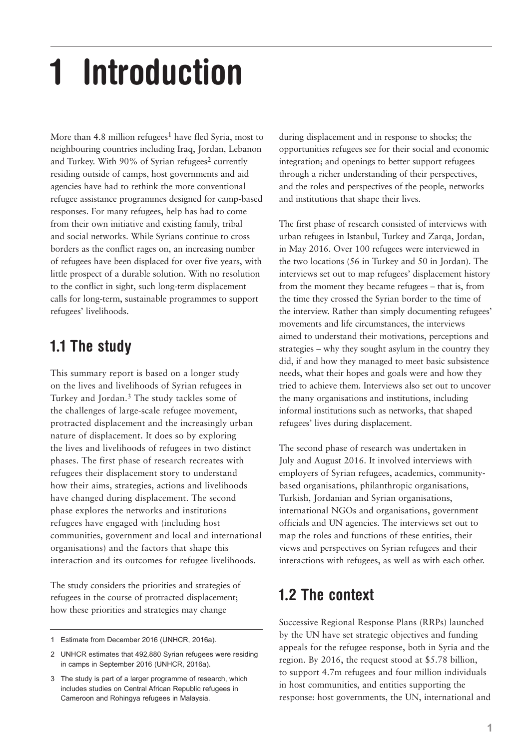# **1 Introduction**

More than 4.8 million refugees<sup>1</sup> have fled Syria, most to neighbouring countries including Iraq, Jordan, Lebanon and Turkey. With 90% of Syrian refugees<sup>2</sup> currently residing outside of camps, host governments and aid agencies have had to rethink the more conventional refugee assistance programmes designed for camp-based responses. For many refugees, help has had to come from their own initiative and existing family, tribal and social networks. While Syrians continue to cross borders as the conflict rages on, an increasing number of refugees have been displaced for over five years, with little prospect of a durable solution. With no resolution to the conflict in sight, such long-term displacement calls for long-term, sustainable programmes to support refugees' livelihoods.

## **1.1 The study**

This summary report is based on a longer study on the lives and livelihoods of Syrian refugees in Turkey and Jordan.3 The study tackles some of the challenges of large-scale refugee movement, protracted displacement and the increasingly urban nature of displacement. It does so by exploring the lives and livelihoods of refugees in two distinct phases. The first phase of research recreates with refugees their displacement story to understand how their aims, strategies, actions and livelihoods have changed during displacement. The second phase explores the networks and institutions refugees have engaged with (including host communities, government and local and international organisations) and the factors that shape this interaction and its outcomes for refugee livelihoods.

The study considers the priorities and strategies of refugees in the course of protracted displacement; how these priorities and strategies may change

during displacement and in response to shocks; the opportunities refugees see for their social and economic integration; and openings to better support refugees through a richer understanding of their perspectives, and the roles and perspectives of the people, networks and institutions that shape their lives.

The first phase of research consisted of interviews with urban refugees in Istanbul, Turkey and Zarqa, Jordan, in May 2016. Over 100 refugees were interviewed in the two locations (56 in Turkey and 50 in Jordan). The interviews set out to map refugees' displacement history from the moment they became refugees – that is, from the time they crossed the Syrian border to the time of the interview. Rather than simply documenting refugees' movements and life circumstances, the interviews aimed to understand their motivations, perceptions and strategies – why they sought asylum in the country they did, if and how they managed to meet basic subsistence needs, what their hopes and goals were and how they tried to achieve them. Interviews also set out to uncover the many organisations and institutions, including informal institutions such as networks, that shaped refugees' lives during displacement.

The second phase of research was undertaken in July and August 2016. It involved interviews with employers of Syrian refugees, academics, communitybased organisations, philanthropic organisations, Turkish, Jordanian and Syrian organisations, international NGOs and organisations, government officials and UN agencies. The interviews set out to map the roles and functions of these entities, their views and perspectives on Syrian refugees and their interactions with refugees, as well as with each other.

## **1.2 The context**

Successive Regional Response Plans (RRPs) launched by the UN have set strategic objectives and funding appeals for the refugee response, both in Syria and the region. By 2016, the request stood at \$5.78 billion, to support 4.7m refugees and four million individuals in host communities, and entities supporting the response: host governments, the UN, international and

<sup>1</sup> Estimate from December 2016 (UNHCR, 2016a).

<sup>2</sup> UNHCR estimates that 492,880 Syrian refugees were residing in camps in September 2016 (UNHCR, 2016a).

<sup>3</sup> The study is part of a larger programme of research, which includes studies on Central African Republic refugees in Cameroon and Rohingya refugees in Malaysia.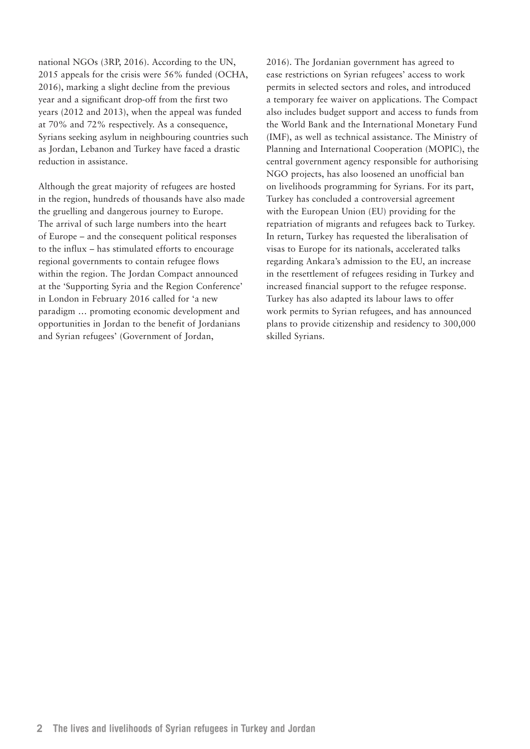national NGOs (3RP, 2016). According to the UN, 2015 appeals for the crisis were 56% funded (OCHA, 2016), marking a slight decline from the previous year and a significant drop-off from the first two years (2012 and 2013), when the appeal was funded at 70% and 72% respectively. As a consequence, Syrians seeking asylum in neighbouring countries such as Jordan, Lebanon and Turkey have faced a drastic reduction in assistance.

Although the great majority of refugees are hosted in the region, hundreds of thousands have also made the gruelling and dangerous journey to Europe. The arrival of such large numbers into the heart of Europe – and the consequent political responses to the influx – has stimulated efforts to encourage regional governments to contain refugee flows within the region. The Jordan Compact announced at the 'Supporting Syria and the Region Conference' in London in February 2016 called for 'a new paradigm … promoting economic development and opportunities in Jordan to the benefit of Jordanians and Syrian refugees' (Government of Jordan,

2016). The Jordanian government has agreed to ease restrictions on Syrian refugees' access to work permits in selected sectors and roles, and introduced a temporary fee waiver on applications. The Compact also includes budget support and access to funds from the World Bank and the International Monetary Fund (IMF), as well as technical assistance. The Ministry of Planning and International Cooperation (MOPIC), the central government agency responsible for authorising NGO projects, has also loosened an unofficial ban on livelihoods programming for Syrians. For its part, Turkey has concluded a controversial agreement with the European Union (EU) providing for the repatriation of migrants and refugees back to Turkey. In return, Turkey has requested the liberalisation of visas to Europe for its nationals, accelerated talks regarding Ankara's admission to the EU, an increase in the resettlement of refugees residing in Turkey and increased financial support to the refugee response. Turkey has also adapted its labour laws to offer work permits to Syrian refugees, and has announced plans to provide citizenship and residency to 300,000 skilled Syrians.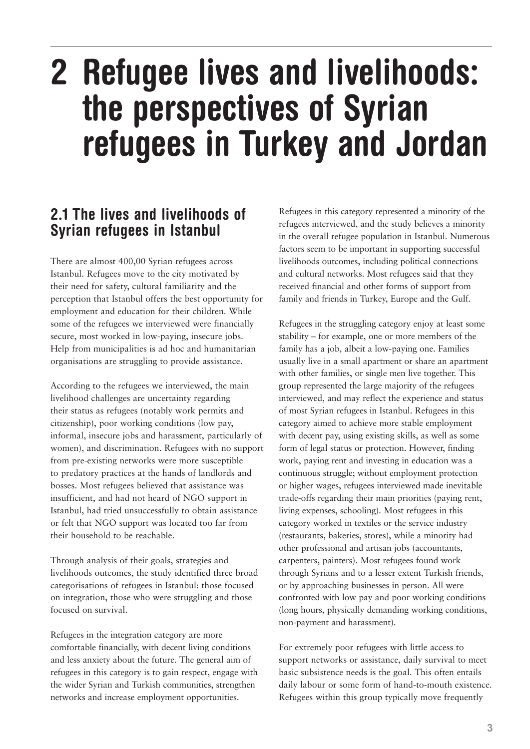## **2 Refugee lives and livelihoods: the perspectives of Syrian refugees in Turkey and Jordan**

### **2.1 The lives and livelihoods of Syrian refugees in Istanbul**

There are almost 400,00 Syrian refugees across Istanbul. Refugees move to the city motivated by their need for safety, cultural familiarity and the perception that Istanbul offers the best opportunity for employment and education for their children. While some of the refugees we interviewed were financially secure, most worked in low-paying, insecure jobs. Help from municipalities is ad hoc and humanitarian organisations are struggling to provide assistance.

According to the refugees we interviewed, the main livelihood challenges are uncertainty regarding their status as refugees (notably work permits and citizenship), poor working conditions (low pay, informal, insecure jobs and harassment, particularly of women), and discrimination. Refugees with no support from pre-existing networks were more susceptible to predatory practices at the hands of landlords and bosses. Most refugees believed that assistance was insufficient, and had not heard of NGO support in Istanbul, had tried unsuccessfully to obtain assistance or felt that NGO support was located too far from their household to be reachable.

Through analysis of their goals, strategies and livelihoods outcomes, the study identified three broad categorisations of refugees in Istanbul: those focused on integration, those who were struggling and those focused on survival.

Refugees in the integration category are more comfortable financially, with decent living conditions and less anxiety about the future. The general aim of refugees in this category is to gain respect, engage with the wider Syrian and Turkish communities, strengthen networks and increase employment opportunities.

Refugees in this category represented a minority of the refugees interviewed, and the study believes a minority in the overall refugee population in Istanbul. Numerous factors seem to be important in supporting successful livelihoods outcomes, including political connections and cultural networks. Most refugees said that they received financial and other forms of support from family and friends in Turkey, Europe and the Gulf.

Refugees in the struggling category enjoy at least some stability – for example, one or more members of the family has a job, albeit a low-paying one. Families usually live in a small apartment or share an apartment with other families, or single men live together. This group represented the large majority of the refugees interviewed, and may reflect the experience and status of most Syrian refugees in Istanbul. Refugees in this category aimed to achieve more stable employment with decent pay, using existing skills, as well as some form of legal status or protection. However, finding work, paying rent and investing in education was a continuous struggle; without employment protection or higher wages, refugees interviewed made inevitable trade-offs regarding their main priorities (paying rent, living expenses, schooling). Most refugees in this category worked in textiles or the service industry (restaurants, bakeries, stores), while a minority had other professional and artisan jobs (accountants, carpenters, painters). Most refugees found work through Syrians and to a lesser extent Turkish friends, or by approaching businesses in person. All were confronted with low pay and poor working conditions (long hours, physically demanding working conditions, non-payment and harassment).

For extremely poor refugees with little access to support networks or assistance, daily survival to meet basic subsistence needs is the goal. This often entails daily labour or some form of hand-to-mouth existence. Refugees within this group typically move frequently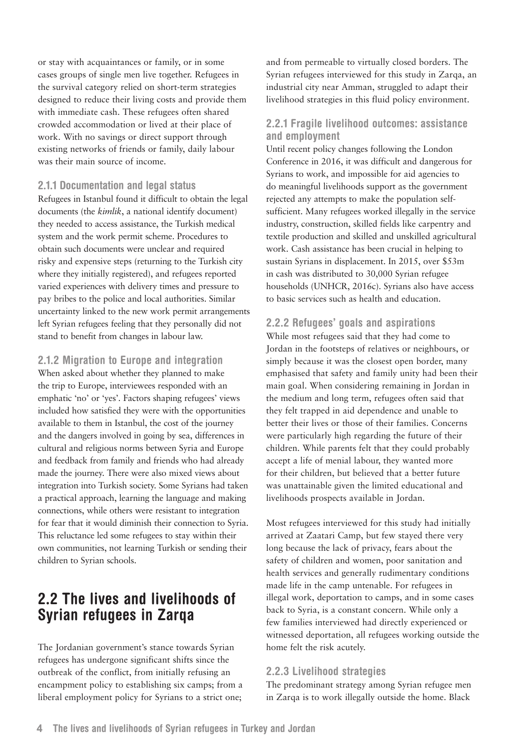or stay with acquaintances or family, or in some cases groups of single men live together. Refugees in the survival category relied on short-term strategies designed to reduce their living costs and provide them with immediate cash. These refugees often shared crowded accommodation or lived at their place of work. With no savings or direct support through existing networks of friends or family, daily labour was their main source of income.

#### **2.1.1 Documentation and legal status**

Refugees in Istanbul found it difficult to obtain the legal documents (the *kimlik*, a national identify document) they needed to access assistance, the Turkish medical system and the work permit scheme. Procedures to obtain such documents were unclear and required risky and expensive steps (returning to the Turkish city where they initially registered), and refugees reported varied experiences with delivery times and pressure to pay bribes to the police and local authorities. Similar uncertainty linked to the new work permit arrangements left Syrian refugees feeling that they personally did not stand to benefit from changes in labour law.

### **2.1.2 Migration to Europe and integration**

When asked about whether they planned to make the trip to Europe, interviewees responded with an emphatic 'no' or 'yes'. Factors shaping refugees' views included how satisfied they were with the opportunities available to them in Istanbul, the cost of the journey and the dangers involved in going by sea, differences in cultural and religious norms between Syria and Europe and feedback from family and friends who had already made the journey. There were also mixed views about integration into Turkish society. Some Syrians had taken a practical approach, learning the language and making connections, while others were resistant to integration for fear that it would diminish their connection to Syria. This reluctance led some refugees to stay within their own communities, not learning Turkish or sending their children to Syrian schools.

## **2.2 The lives and livelihoods of Syrian refugees in Zarqa**

The Jordanian government's stance towards Syrian refugees has undergone significant shifts since the outbreak of the conflict, from initially refusing an encampment policy to establishing six camps; from a liberal employment policy for Syrians to a strict one;

and from permeable to virtually closed borders. The Syrian refugees interviewed for this study in Zarqa, an industrial city near Amman, struggled to adapt their livelihood strategies in this fluid policy environment.

### **2.2.1 Fragile livelihood outcomes: assistance and employment**

Until recent policy changes following the London Conference in 2016, it was difficult and dangerous for Syrians to work, and impossible for aid agencies to do meaningful livelihoods support as the government rejected any attempts to make the population selfsufficient. Many refugees worked illegally in the service industry, construction, skilled fields like carpentry and textile production and skilled and unskilled agricultural work. Cash assistance has been crucial in helping to sustain Syrians in displacement. In 2015, over \$53m in cash was distributed to 30,000 Syrian refugee households (UNHCR, 2016c). Syrians also have access to basic services such as health and education.

### **2.2.2 Refugees' goals and aspirations**

While most refugees said that they had come to Jordan in the footsteps of relatives or neighbours, or simply because it was the closest open border, many emphasised that safety and family unity had been their main goal. When considering remaining in Jordan in the medium and long term, refugees often said that they felt trapped in aid dependence and unable to better their lives or those of their families. Concerns were particularly high regarding the future of their children. While parents felt that they could probably accept a life of menial labour, they wanted more for their children, but believed that a better future was unattainable given the limited educational and livelihoods prospects available in Jordan.

Most refugees interviewed for this study had initially arrived at Zaatari Camp, but few stayed there very long because the lack of privacy, fears about the safety of children and women, poor sanitation and health services and generally rudimentary conditions made life in the camp untenable. For refugees in illegal work, deportation to camps, and in some cases back to Syria, is a constant concern. While only a few families interviewed had directly experienced or witnessed deportation, all refugees working outside the home felt the risk acutely.

### **2.2.3 Livelihood strategies**

The predominant strategy among Syrian refugee men in Zarqa is to work illegally outside the home. Black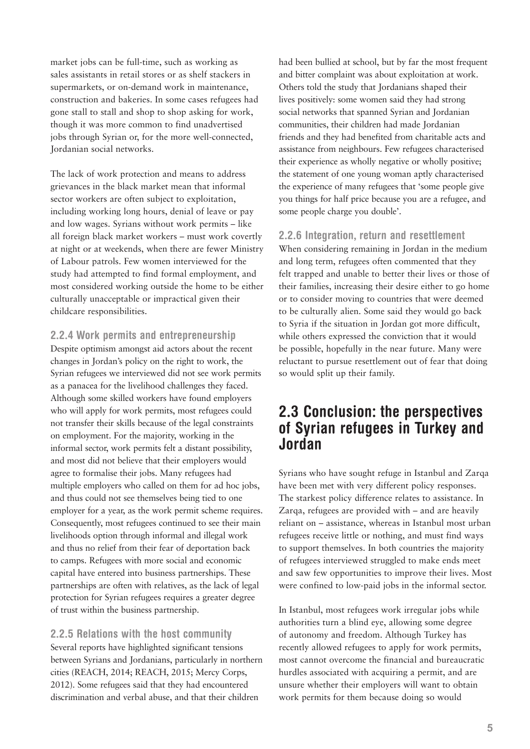market jobs can be full-time, such as working as sales assistants in retail stores or as shelf stackers in supermarkets, or on-demand work in maintenance, construction and bakeries. In some cases refugees had gone stall to stall and shop to shop asking for work, though it was more common to find unadvertised jobs through Syrian or, for the more well-connected, Jordanian social networks.

The lack of work protection and means to address grievances in the black market mean that informal sector workers are often subject to exploitation, including working long hours, denial of leave or pay and low wages. Syrians without work permits – like all foreign black market workers – must work covertly at night or at weekends, when there are fewer Ministry of Labour patrols. Few women interviewed for the study had attempted to find formal employment, and most considered working outside the home to be either culturally unacceptable or impractical given their childcare responsibilities.

### **2.2.4 Work permits and entrepreneurship**

Despite optimism amongst aid actors about the recent changes in Jordan's policy on the right to work, the Syrian refugees we interviewed did not see work permits as a panacea for the livelihood challenges they faced. Although some skilled workers have found employers who will apply for work permits, most refugees could not transfer their skills because of the legal constraints on employment. For the majority, working in the informal sector, work permits felt a distant possibility, and most did not believe that their employers would agree to formalise their jobs. Many refugees had multiple employers who called on them for ad hoc jobs, and thus could not see themselves being tied to one employer for a year, as the work permit scheme requires. Consequently, most refugees continued to see their main livelihoods option through informal and illegal work and thus no relief from their fear of deportation back to camps. Refugees with more social and economic capital have entered into business partnerships. These partnerships are often with relatives, as the lack of legal protection for Syrian refugees requires a greater degree of trust within the business partnership.

**2.2.5 Relations with the host community**  Several reports have highlighted significant tensions between Syrians and Jordanians, particularly in northern cities (REACH, 2014; REACH, 2015; Mercy Corps, 2012). Some refugees said that they had encountered discrimination and verbal abuse, and that their children

had been bullied at school, but by far the most frequent and bitter complaint was about exploitation at work. Others told the study that Jordanians shaped their lives positively: some women said they had strong social networks that spanned Syrian and Jordanian communities, their children had made Jordanian friends and they had benefited from charitable acts and assistance from neighbours. Few refugees characterised their experience as wholly negative or wholly positive; the statement of one young woman aptly characterised the experience of many refugees that 'some people give you things for half price because you are a refugee, and some people charge you double'.

### **2.2.6 Integration, return and resettlement**

When considering remaining in Jordan in the medium and long term, refugees often commented that they felt trapped and unable to better their lives or those of their families, increasing their desire either to go home or to consider moving to countries that were deemed to be culturally alien. Some said they would go back to Syria if the situation in Jordan got more difficult, while others expressed the conviction that it would be possible, hopefully in the near future. Many were reluctant to pursue resettlement out of fear that doing so would split up their family.

### **2.3 Conclusion: the perspectives of Syrian refugees in Turkey and Jordan**

Syrians who have sought refuge in Istanbul and Zarqa have been met with very different policy responses. The starkest policy difference relates to assistance. In Zarqa, refugees are provided with – and are heavily reliant on – assistance, whereas in Istanbul most urban refugees receive little or nothing, and must find ways to support themselves. In both countries the majority of refugees interviewed struggled to make ends meet and saw few opportunities to improve their lives. Most were confined to low-paid jobs in the informal sector.

In Istanbul, most refugees work irregular jobs while authorities turn a blind eye, allowing some degree of autonomy and freedom. Although Turkey has recently allowed refugees to apply for work permits, most cannot overcome the financial and bureaucratic hurdles associated with acquiring a permit, and are unsure whether their employers will want to obtain work permits for them because doing so would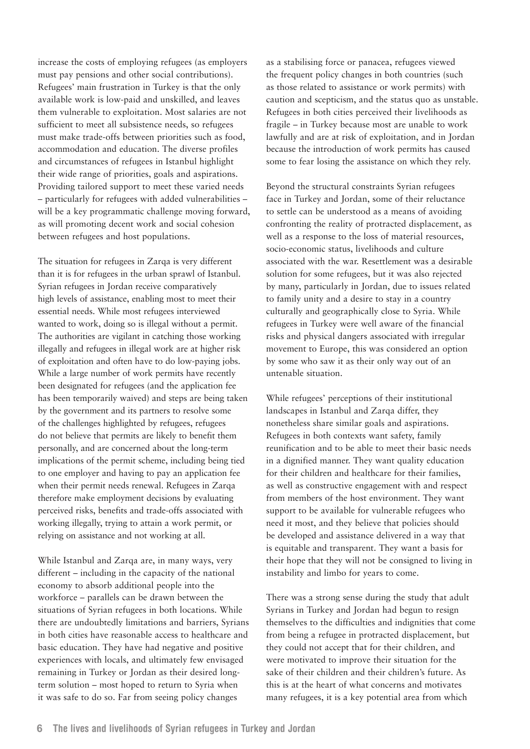increase the costs of employing refugees (as employers must pay pensions and other social contributions). Refugees' main frustration in Turkey is that the only available work is low-paid and unskilled, and leaves them vulnerable to exploitation. Most salaries are not sufficient to meet all subsistence needs, so refugees must make trade-offs between priorities such as food, accommodation and education. The diverse profiles and circumstances of refugees in Istanbul highlight their wide range of priorities, goals and aspirations. Providing tailored support to meet these varied needs – particularly for refugees with added vulnerabilities – will be a key programmatic challenge moving forward, as will promoting decent work and social cohesion between refugees and host populations.

The situation for refugees in Zarqa is very different than it is for refugees in the urban sprawl of Istanbul. Syrian refugees in Jordan receive comparatively high levels of assistance, enabling most to meet their essential needs. While most refugees interviewed wanted to work, doing so is illegal without a permit. The authorities are vigilant in catching those working illegally and refugees in illegal work are at higher risk of exploitation and often have to do low-paying jobs. While a large number of work permits have recently been designated for refugees (and the application fee has been temporarily waived) and steps are being taken by the government and its partners to resolve some of the challenges highlighted by refugees, refugees do not believe that permits are likely to benefit them personally, and are concerned about the long-term implications of the permit scheme, including being tied to one employer and having to pay an application fee when their permit needs renewal. Refugees in Zarqa therefore make employment decisions by evaluating perceived risks, benefits and trade-offs associated with working illegally, trying to attain a work permit, or relying on assistance and not working at all.

While Istanbul and Zarqa are, in many ways, very different – including in the capacity of the national economy to absorb additional people into the workforce – parallels can be drawn between the situations of Syrian refugees in both locations. While there are undoubtedly limitations and barriers, Syrians in both cities have reasonable access to healthcare and basic education. They have had negative and positive experiences with locals, and ultimately few envisaged remaining in Turkey or Jordan as their desired longterm solution – most hoped to return to Syria when it was safe to do so. Far from seeing policy changes

as a stabilising force or panacea, refugees viewed the frequent policy changes in both countries (such as those related to assistance or work permits) with caution and scepticism, and the status quo as unstable. Refugees in both cities perceived their livelihoods as fragile – in Turkey because most are unable to work lawfully and are at risk of exploitation, and in Jordan because the introduction of work permits has caused some to fear losing the assistance on which they rely.

Beyond the structural constraints Syrian refugees face in Turkey and Jordan, some of their reluctance to settle can be understood as a means of avoiding confronting the reality of protracted displacement, as well as a response to the loss of material resources, socio-economic status, livelihoods and culture associated with the war. Resettlement was a desirable solution for some refugees, but it was also rejected by many, particularly in Jordan, due to issues related to family unity and a desire to stay in a country culturally and geographically close to Syria. While refugees in Turkey were well aware of the financial risks and physical dangers associated with irregular movement to Europe, this was considered an option by some who saw it as their only way out of an untenable situation.

While refugees' perceptions of their institutional landscapes in Istanbul and Zarqa differ, they nonetheless share similar goals and aspirations. Refugees in both contexts want safety, family reunification and to be able to meet their basic needs in a dignified manner. They want quality education for their children and healthcare for their families, as well as constructive engagement with and respect from members of the host environment. They want support to be available for vulnerable refugees who need it most, and they believe that policies should be developed and assistance delivered in a way that is equitable and transparent. They want a basis for their hope that they will not be consigned to living in instability and limbo for years to come.

There was a strong sense during the study that adult Syrians in Turkey and Jordan had begun to resign themselves to the difficulties and indignities that come from being a refugee in protracted displacement, but they could not accept that for their children, and were motivated to improve their situation for the sake of their children and their children's future. As this is at the heart of what concerns and motivates many refugees, it is a key potential area from which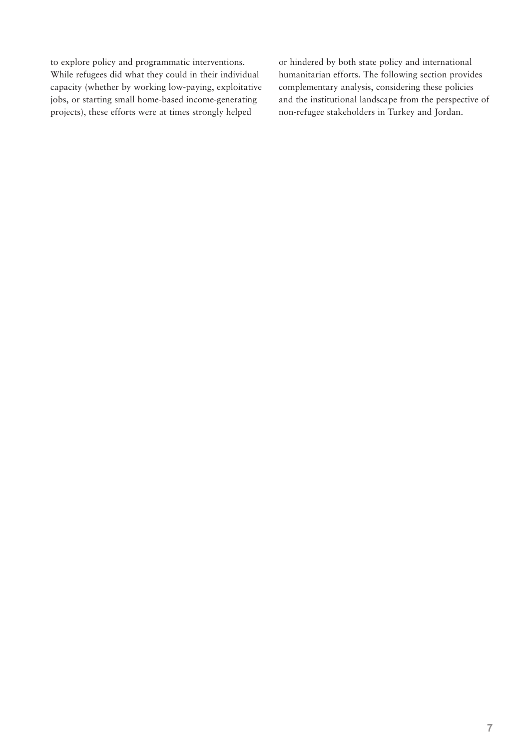to explore policy and programmatic interventions. While refugees did what they could in their individual capacity (whether by working low-paying, exploitative jobs, or starting small home-based income-generating projects), these efforts were at times strongly helped

or hindered by both state policy and international humanitarian efforts. The following section provides complementary analysis, considering these policies and the institutional landscape from the perspective of non-refugee stakeholders in Turkey and Jordan.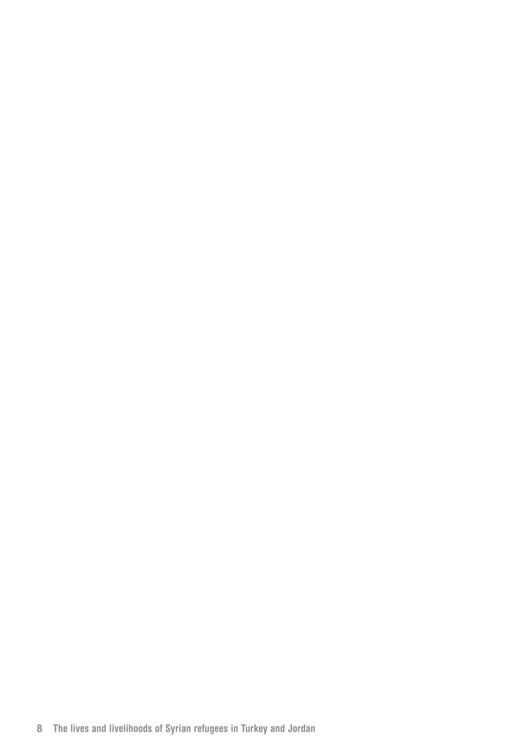**The lives and livelihoods of Syrian refugees in Turkey and Jordan**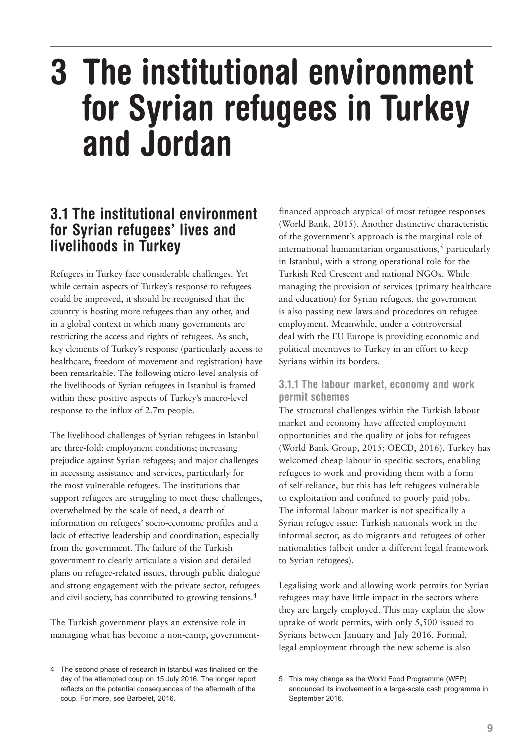## **3 The institutional environment for Syrian refugees in Turkey and Jordan**

### **3.1 The institutional environment for Syrian refugees' lives and livelihoods in Turkey**

Refugees in Turkey face considerable challenges. Yet while certain aspects of Turkey's response to refugees could be improved, it should be recognised that the country is hosting more refugees than any other, and in a global context in which many governments are restricting the access and rights of refugees. As such, key elements of Turkey's response (particularly access to healthcare, freedom of movement and registration) have been remarkable. The following micro-level analysis of the livelihoods of Syrian refugees in Istanbul is framed within these positive aspects of Turkey's macro-level response to the influx of 2.7m people.

The livelihood challenges of Syrian refugees in Istanbul are three-fold: employment conditions; increasing prejudice against Syrian refugees; and major challenges in accessing assistance and services, particularly for the most vulnerable refugees. The institutions that support refugees are struggling to meet these challenges, overwhelmed by the scale of need, a dearth of information on refugees' socio-economic profiles and a lack of effective leadership and coordination, especially from the government. The failure of the Turkish government to clearly articulate a vision and detailed plans on refugee-related issues, through public dialogue and strong engagement with the private sector, refugees and civil society, has contributed to growing tensions.4

The Turkish government plays an extensive role in managing what has become a non-camp, government-

financed approach atypical of most refugee responses (World Bank, 2015). Another distinctive characteristic of the government's approach is the marginal role of international humanitarian organisations, $<sup>5</sup>$  particularly</sup> in Istanbul, with a strong operational role for the Turkish Red Crescent and national NGOs. While managing the provision of services (primary healthcare and education) for Syrian refugees, the government is also passing new laws and procedures on refugee employment. Meanwhile, under a controversial deal with the EU Europe is providing economic and political incentives to Turkey in an effort to keep Syrians within its borders.

### **3.1.1 The labour market, economy and work permit schemes**

The structural challenges within the Turkish labour market and economy have affected employment opportunities and the quality of jobs for refugees (World Bank Group, 2015; OECD, 2016). Turkey has welcomed cheap labour in specific sectors, enabling refugees to work and providing them with a form of self-reliance, but this has left refugees vulnerable to exploitation and confined to poorly paid jobs. The informal labour market is not specifically a Syrian refugee issue: Turkish nationals work in the informal sector, as do migrants and refugees of other nationalities (albeit under a different legal framework to Syrian refugees).

Legalising work and allowing work permits for Syrian refugees may have little impact in the sectors where they are largely employed. This may explain the slow uptake of work permits, with only 5,500 issued to Syrians between January and July 2016. Formal, legal employment through the new scheme is also

<sup>4</sup> The second phase of research in Istanbul was finalised on the day of the attempted coup on 15 July 2016. The longer report reflects on the potential consequences of the aftermath of the coup. For more, see Barbelet, 2016.

<sup>5</sup> This may change as the World Food Programme (WFP) announced its involvement in a large-scale cash programme in September 2016.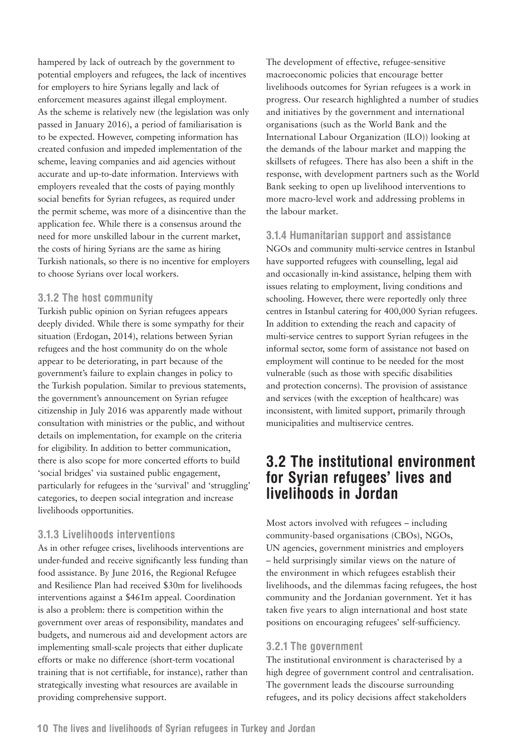hampered by lack of outreach by the government to potential employers and refugees, the lack of incentives for employers to hire Syrians legally and lack of enforcement measures against illegal employment. As the scheme is relatively new (the legislation was only passed in January 2016), a period of familiarisation is to be expected. However, competing information has created confusion and impeded implementation of the scheme, leaving companies and aid agencies without accurate and up-to-date information. Interviews with employers revealed that the costs of paying monthly social benefits for Syrian refugees, as required under the permit scheme, was more of a disincentive than the application fee. While there is a consensus around the need for more unskilled labour in the current market, the costs of hiring Syrians are the same as hiring Turkish nationals, so there is no incentive for employers to choose Syrians over local workers.

### **3.1.2 The host community**

Turkish public opinion on Syrian refugees appears deeply divided. While there is some sympathy for their situation (Erdogan, 2014), relations between Syrian refugees and the host community do on the whole appear to be deteriorating, in part because of the government's failure to explain changes in policy to the Turkish population. Similar to previous statements, the government's announcement on Syrian refugee citizenship in July 2016 was apparently made without consultation with ministries or the public, and without details on implementation, for example on the criteria for eligibility. In addition to better communication, there is also scope for more concerted efforts to build 'social bridges' via sustained public engagement, particularly for refugees in the 'survival' and 'struggling' categories, to deepen social integration and increase livelihoods opportunities.

### **3.1.3 Livelihoods interventions**

As in other refugee crises, livelihoods interventions are under-funded and receive significantly less funding than food assistance. By June 2016, the Regional Refugee and Resilience Plan had received \$30m for livelihoods interventions against a \$461m appeal. Coordination is also a problem: there is competition within the government over areas of responsibility, mandates and budgets, and numerous aid and development actors are implementing small-scale projects that either duplicate efforts or make no difference (short-term vocational training that is not certifiable, for instance), rather than strategically investing what resources are available in providing comprehensive support.

The development of effective, refugee-sensitive macroeconomic policies that encourage better livelihoods outcomes for Syrian refugees is a work in progress. Our research highlighted a number of studies and initiatives by the government and international organisations (such as the World Bank and the International Labour Organization (ILO)) looking at the demands of the labour market and mapping the skillsets of refugees. There has also been a shift in the response, with development partners such as the World Bank seeking to open up livelihood interventions to more macro-level work and addressing problems in the labour market.

### **3.1.4 Humanitarian support and assistance**

NGOs and community multi-service centres in Istanbul have supported refugees with counselling, legal aid and occasionally in-kind assistance, helping them with issues relating to employment, living conditions and schooling. However, there were reportedly only three centres in Istanbul catering for 400,000 Syrian refugees. In addition to extending the reach and capacity of multi-service centres to support Syrian refugees in the informal sector, some form of assistance not based on employment will continue to be needed for the most vulnerable (such as those with specific disabilities and protection concerns). The provision of assistance and services (with the exception of healthcare) was inconsistent, with limited support, primarily through municipalities and multiservice centres.

### **3.2 The institutional environment for Syrian refugees' lives and livelihoods in Jordan**

Most actors involved with refugees – including community-based organisations (CBOs), NGOs, UN agencies, government ministries and employers – held surprisingly similar views on the nature of the environment in which refugees establish their livelihoods, and the dilemmas facing refugees, the host community and the Jordanian government. Yet it has taken five years to align international and host state positions on encouraging refugees' self-sufficiency.

### **3.2.1 The government**

The institutional environment is characterised by a high degree of government control and centralisation. The government leads the discourse surrounding refugees, and its policy decisions affect stakeholders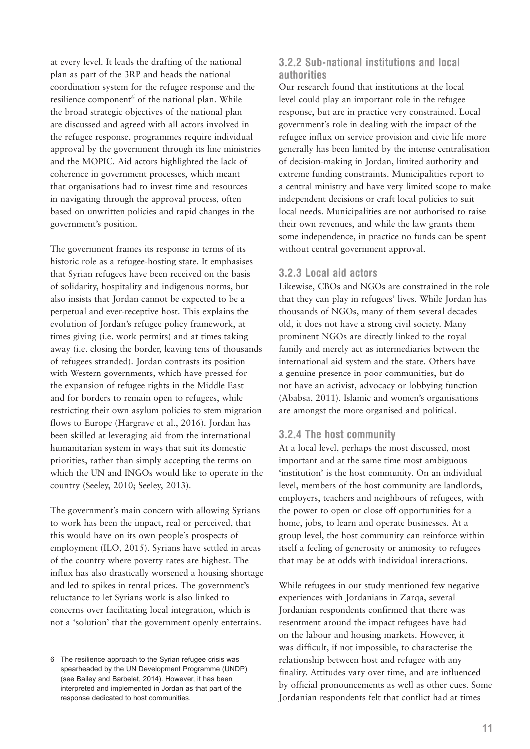at every level. It leads the drafting of the national plan as part of the 3RP and heads the national coordination system for the refugee response and the resilience component<sup>6</sup> of the national plan. While the broad strategic objectives of the national plan are discussed and agreed with all actors involved in the refugee response, programmes require individual approval by the government through its line ministries and the MOPIC. Aid actors highlighted the lack of coherence in government processes, which meant that organisations had to invest time and resources in navigating through the approval process, often based on unwritten policies and rapid changes in the government's position.

The government frames its response in terms of its historic role as a refugee-hosting state. It emphasises that Syrian refugees have been received on the basis of solidarity, hospitality and indigenous norms, but also insists that Jordan cannot be expected to be a perpetual and ever-receptive host. This explains the evolution of Jordan's refugee policy framework, at times giving (i.e. work permits) and at times taking away (i.e. closing the border, leaving tens of thousands of refugees stranded). Jordan contrasts its position with Western governments, which have pressed for the expansion of refugee rights in the Middle East and for borders to remain open to refugees, while restricting their own asylum policies to stem migration flows to Europe (Hargrave et al., 2016). Jordan has been skilled at leveraging aid from the international humanitarian system in ways that suit its domestic priorities, rather than simply accepting the terms on which the UN and INGOs would like to operate in the country (Seeley, 2010; Seeley, 2013).

The government's main concern with allowing Syrians to work has been the impact, real or perceived, that this would have on its own people's prospects of employment (ILO, 2015). Syrians have settled in areas of the country where poverty rates are highest. The influx has also drastically worsened a housing shortage and led to spikes in rental prices. The government's reluctance to let Syrians work is also linked to concerns over facilitating local integration, which is not a 'solution' that the government openly entertains.

### **3.2.2 Sub-national institutions and local authorities**

Our research found that institutions at the local level could play an important role in the refugee response, but are in practice very constrained. Local government's role in dealing with the impact of the refugee influx on service provision and civic life more generally has been limited by the intense centralisation of decision-making in Jordan, limited authority and extreme funding constraints. Municipalities report to a central ministry and have very limited scope to make independent decisions or craft local policies to suit local needs. Municipalities are not authorised to raise their own revenues, and while the law grants them some independence, in practice no funds can be spent without central government approval.

#### **3.2.3 Local aid actors**

Likewise, CBOs and NGOs are constrained in the role that they can play in refugees' lives. While Jordan has thousands of NGOs, many of them several decades old, it does not have a strong civil society. Many prominent NGOs are directly linked to the royal family and merely act as intermediaries between the international aid system and the state. Others have a genuine presence in poor communities, but do not have an activist, advocacy or lobbying function (Ababsa, 2011). Islamic and women's organisations are amongst the more organised and political.

#### **3.2.4 The host community**

At a local level, perhaps the most discussed, most important and at the same time most ambiguous 'institution' is the host community. On an individual level, members of the host community are landlords, employers, teachers and neighbours of refugees, with the power to open or close off opportunities for a home, jobs, to learn and operate businesses. At a group level, the host community can reinforce within itself a feeling of generosity or animosity to refugees that may be at odds with individual interactions.

While refugees in our study mentioned few negative experiences with Jordanians in Zarqa, several Jordanian respondents confirmed that there was resentment around the impact refugees have had on the labour and housing markets. However, it was difficult, if not impossible, to characterise the relationship between host and refugee with any finality. Attitudes vary over time, and are influenced by official pronouncements as well as other cues. Some Jordanian respondents felt that conflict had at times

<sup>6</sup> The resilience approach to the Syrian refugee crisis was spearheaded by the UN Development Programme (UNDP) (see Bailey and Barbelet, 2014). However, it has been interpreted and implemented in Jordan as that part of the response dedicated to host communities.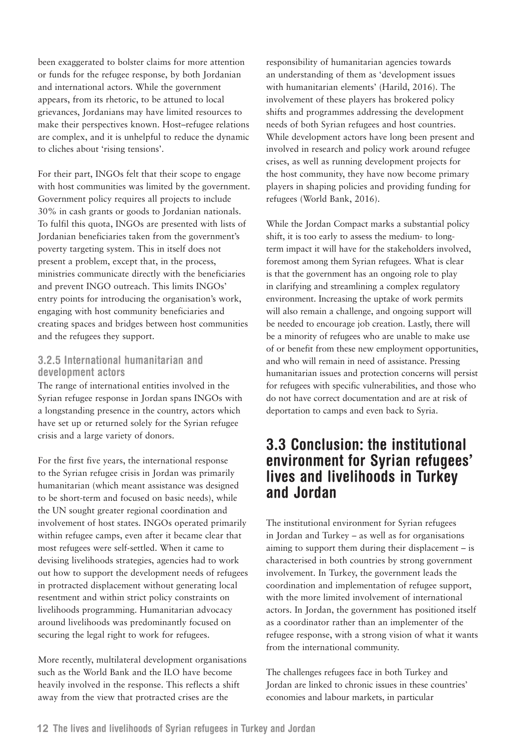been exaggerated to bolster claims for more attention or funds for the refugee response, by both Jordanian and international actors. While the government appears, from its rhetoric, to be attuned to local grievances, Jordanians may have limited resources to make their perspectives known. Host–refugee relations are complex, and it is unhelpful to reduce the dynamic to cliches about 'rising tensions'.

For their part, INGOs felt that their scope to engage with host communities was limited by the government. Government policy requires all projects to include 30% in cash grants or goods to Jordanian nationals. To fulfil this quota, INGOs are presented with lists of Jordanian beneficiaries taken from the government's poverty targeting system. This in itself does not present a problem, except that, in the process, ministries communicate directly with the beneficiaries and prevent INGO outreach. This limits INGOs' entry points for introducing the organisation's work, engaging with host community beneficiaries and creating spaces and bridges between host communities and the refugees they support.

### **3.2.5 International humanitarian and development actors**

The range of international entities involved in the Syrian refugee response in Jordan spans INGOs with a longstanding presence in the country, actors which have set up or returned solely for the Syrian refugee crisis and a large variety of donors.

For the first five years, the international response to the Syrian refugee crisis in Jordan was primarily humanitarian (which meant assistance was designed to be short-term and focused on basic needs), while the UN sought greater regional coordination and involvement of host states. INGOs operated primarily within refugee camps, even after it became clear that most refugees were self-settled. When it came to devising livelihoods strategies, agencies had to work out how to support the development needs of refugees in protracted displacement without generating local resentment and within strict policy constraints on livelihoods programming. Humanitarian advocacy around livelihoods was predominantly focused on securing the legal right to work for refugees.

More recently, multilateral development organisations such as the World Bank and the ILO have become heavily involved in the response. This reflects a shift away from the view that protracted crises are the

responsibility of humanitarian agencies towards an understanding of them as 'development issues with humanitarian elements' (Harild, 2016). The involvement of these players has brokered policy shifts and programmes addressing the development needs of both Syrian refugees and host countries. While development actors have long been present and involved in research and policy work around refugee crises, as well as running development projects for the host community, they have now become primary players in shaping policies and providing funding for refugees (World Bank, 2016).

While the Jordan Compact marks a substantial policy shift, it is too early to assess the medium- to longterm impact it will have for the stakeholders involved, foremost among them Syrian refugees. What is clear is that the government has an ongoing role to play in clarifying and streamlining a complex regulatory environment. Increasing the uptake of work permits will also remain a challenge, and ongoing support will be needed to encourage job creation. Lastly, there will be a minority of refugees who are unable to make use of or benefit from these new employment opportunities, and who will remain in need of assistance. Pressing humanitarian issues and protection concerns will persist for refugees with specific vulnerabilities, and those who do not have correct documentation and are at risk of deportation to camps and even back to Syria.

### **3.3 Conclusion: the institutional environment for Syrian refugees' lives and livelihoods in Turkey and Jordan**

The institutional environment for Syrian refugees in Jordan and Turkey – as well as for organisations aiming to support them during their displacement – is characterised in both countries by strong government involvement. In Turkey, the government leads the coordination and implementation of refugee support, with the more limited involvement of international actors. In Jordan, the government has positioned itself as a coordinator rather than an implementer of the refugee response, with a strong vision of what it wants from the international community.

The challenges refugees face in both Turkey and Jordan are linked to chronic issues in these countries' economies and labour markets, in particular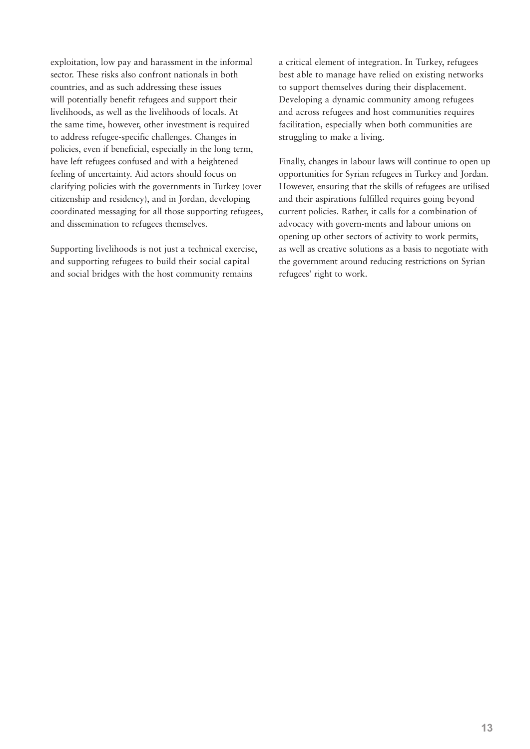exploitation, low pay and harassment in the informal sector. These risks also confront nationals in both countries, and as such addressing these issues will potentially benefit refugees and support their livelihoods, as well as the livelihoods of locals. At the same time, however, other investment is required to address refugee-specific challenges. Changes in policies, even if beneficial, especially in the long term, have left refugees confused and with a heightened feeling of uncertainty. Aid actors should focus on clarifying policies with the governments in Turkey (over citizenship and residency), and in Jordan, developing coordinated messaging for all those supporting refugees, and dissemination to refugees themselves.

Supporting livelihoods is not just a technical exercise, and supporting refugees to build their social capital and social bridges with the host community remains

a critical element of integration. In Turkey, refugees best able to manage have relied on existing networks to support themselves during their displacement. Developing a dynamic community among refugees and across refugees and host communities requires facilitation, especially when both communities are struggling to make a living.

Finally, changes in labour laws will continue to open up opportunities for Syrian refugees in Turkey and Jordan. However, ensuring that the skills of refugees are utilised and their aspirations fulfilled requires going beyond current policies. Rather, it calls for a combination of advocacy with govern-ments and labour unions on opening up other sectors of activity to work permits, as well as creative solutions as a basis to negotiate with the government around reducing restrictions on Syrian refugees' right to work.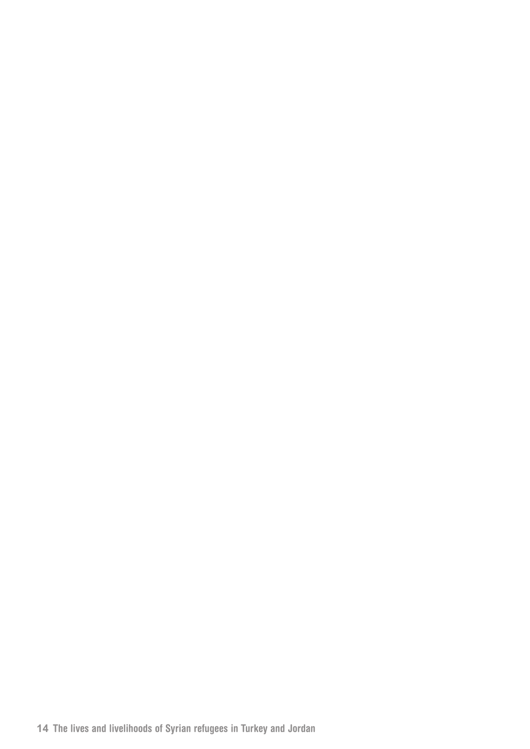**The lives and livelihoods of Syrian refugees in Turkey and Jordan**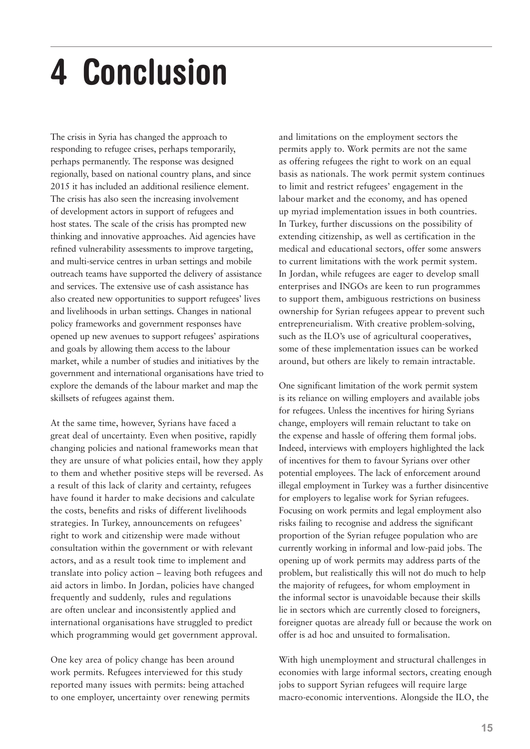## **4 Conclusion**

The crisis in Syria has changed the approach to responding to refugee crises, perhaps temporarily, perhaps permanently. The response was designed regionally, based on national country plans, and since 2015 it has included an additional resilience element. The crisis has also seen the increasing involvement of development actors in support of refugees and host states. The scale of the crisis has prompted new thinking and innovative approaches. Aid agencies have refined vulnerability assessments to improve targeting, and multi-service centres in urban settings and mobile outreach teams have supported the delivery of assistance and services. The extensive use of cash assistance has also created new opportunities to support refugees' lives and livelihoods in urban settings. Changes in national policy frameworks and government responses have opened up new avenues to support refugees' aspirations and goals by allowing them access to the labour market, while a number of studies and initiatives by the government and international organisations have tried to explore the demands of the labour market and map the skillsets of refugees against them.

At the same time, however, Syrians have faced a great deal of uncertainty. Even when positive, rapidly changing policies and national frameworks mean that they are unsure of what policies entail, how they apply to them and whether positive steps will be reversed. As a result of this lack of clarity and certainty, refugees have found it harder to make decisions and calculate the costs, benefits and risks of different livelihoods strategies. In Turkey, announcements on refugees' right to work and citizenship were made without consultation within the government or with relevant actors, and as a result took time to implement and translate into policy action – leaving both refugees and aid actors in limbo. In Jordan, policies have changed frequently and suddenly, rules and regulations are often unclear and inconsistently applied and international organisations have struggled to predict which programming would get government approval.

One key area of policy change has been around work permits. Refugees interviewed for this study reported many issues with permits: being attached to one employer, uncertainty over renewing permits and limitations on the employment sectors the permits apply to. Work permits are not the same as offering refugees the right to work on an equal basis as nationals. The work permit system continues to limit and restrict refugees' engagement in the labour market and the economy, and has opened up myriad implementation issues in both countries. In Turkey, further discussions on the possibility of extending citizenship, as well as certification in the medical and educational sectors, offer some answers to current limitations with the work permit system. In Jordan, while refugees are eager to develop small enterprises and INGOs are keen to run programmes to support them, ambiguous restrictions on business ownership for Syrian refugees appear to prevent such entrepreneurialism. With creative problem-solving, such as the ILO's use of agricultural cooperatives, some of these implementation issues can be worked around, but others are likely to remain intractable.

One significant limitation of the work permit system is its reliance on willing employers and available jobs for refugees. Unless the incentives for hiring Syrians change, employers will remain reluctant to take on the expense and hassle of offering them formal jobs. Indeed, interviews with employers highlighted the lack of incentives for them to favour Syrians over other potential employees. The lack of enforcement around illegal employment in Turkey was a further disincentive for employers to legalise work for Syrian refugees. Focusing on work permits and legal employment also risks failing to recognise and address the significant proportion of the Syrian refugee population who are currently working in informal and low-paid jobs. The opening up of work permits may address parts of the problem, but realistically this will not do much to help the majority of refugees, for whom employment in the informal sector is unavoidable because their skills lie in sectors which are currently closed to foreigners, foreigner quotas are already full or because the work on offer is ad hoc and unsuited to formalisation.

With high unemployment and structural challenges in economies with large informal sectors, creating enough jobs to support Syrian refugees will require large macro-economic interventions. Alongside the ILO, the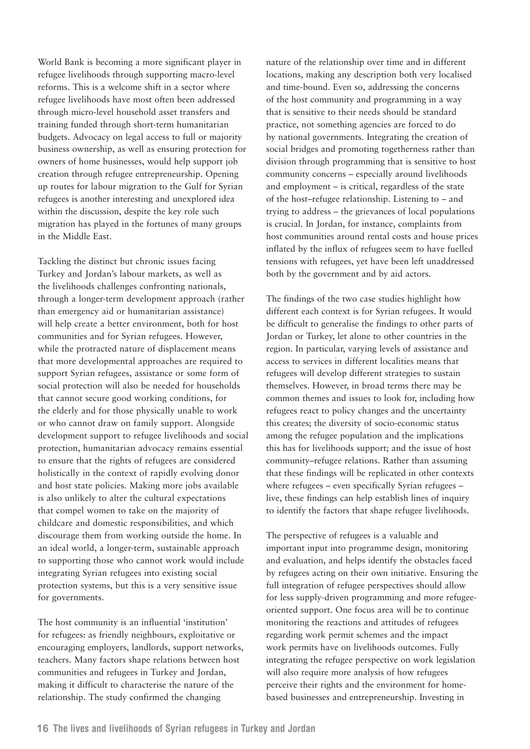World Bank is becoming a more significant player in refugee livelihoods through supporting macro-level reforms. This is a welcome shift in a sector where refugee livelihoods have most often been addressed through micro-level household asset transfers and training funded through short-term humanitarian budgets. Advocacy on legal access to full or majority business ownership, as well as ensuring protection for owners of home businesses, would help support job creation through refugee entrepreneurship. Opening up routes for labour migration to the Gulf for Syrian refugees is another interesting and unexplored idea within the discussion, despite the key role such migration has played in the fortunes of many groups in the Middle East.

Tackling the distinct but chronic issues facing Turkey and Jordan's labour markets, as well as the livelihoods challenges confronting nationals, through a longer-term development approach (rather than emergency aid or humanitarian assistance) will help create a better environment, both for host communities and for Syrian refugees. However, while the protracted nature of displacement means that more developmental approaches are required to support Syrian refugees, assistance or some form of social protection will also be needed for households that cannot secure good working conditions, for the elderly and for those physically unable to work or who cannot draw on family support. Alongside development support to refugee livelihoods and social protection, humanitarian advocacy remains essential to ensure that the rights of refugees are considered holistically in the context of rapidly evolving donor and host state policies. Making more jobs available is also unlikely to alter the cultural expectations that compel women to take on the majority of childcare and domestic responsibilities, and which discourage them from working outside the home. In an ideal world, a longer-term, sustainable approach to supporting those who cannot work would include integrating Syrian refugees into existing social protection systems, but this is a very sensitive issue for governments.

The host community is an influential 'institution' for refugees: as friendly neighbours, exploitative or encouraging employers, landlords, support networks, teachers. Many factors shape relations between host communities and refugees in Turkey and Jordan, making it difficult to characterise the nature of the relationship. The study confirmed the changing

nature of the relationship over time and in different locations, making any description both very localised and time-bound. Even so, addressing the concerns of the host community and programming in a way that is sensitive to their needs should be standard practice, not something agencies are forced to do by national governments. Integrating the creation of social bridges and promoting togetherness rather than division through programming that is sensitive to host community concerns – especially around livelihoods and employment – is critical, regardless of the state of the host–refugee relationship. Listening to – and trying to address – the grievances of local populations is crucial. In Jordan, for instance, complaints from host communities around rental costs and house prices inflated by the influx of refugees seem to have fuelled tensions with refugees, yet have been left unaddressed both by the government and by aid actors.

The findings of the two case studies highlight how different each context is for Syrian refugees. It would be difficult to generalise the findings to other parts of Jordan or Turkey, let alone to other countries in the region. In particular, varying levels of assistance and access to services in different localities means that refugees will develop different strategies to sustain themselves. However, in broad terms there may be common themes and issues to look for, including how refugees react to policy changes and the uncertainty this creates; the diversity of socio-economic status among the refugee population and the implications this has for livelihoods support; and the issue of host community–refugee relations. Rather than assuming that these findings will be replicated in other contexts where refugees – even specifically Syrian refugees – live, these findings can help establish lines of inquiry to identify the factors that shape refugee livelihoods.

The perspective of refugees is a valuable and important input into programme design, monitoring and evaluation, and helps identify the obstacles faced by refugees acting on their own initiative. Ensuring the full integration of refugee perspectives should allow for less supply-driven programming and more refugeeoriented support. One focus area will be to continue monitoring the reactions and attitudes of refugees regarding work permit schemes and the impact work permits have on livelihoods outcomes. Fully integrating the refugee perspective on work legislation will also require more analysis of how refugees perceive their rights and the environment for homebased businesses and entrepreneurship. Investing in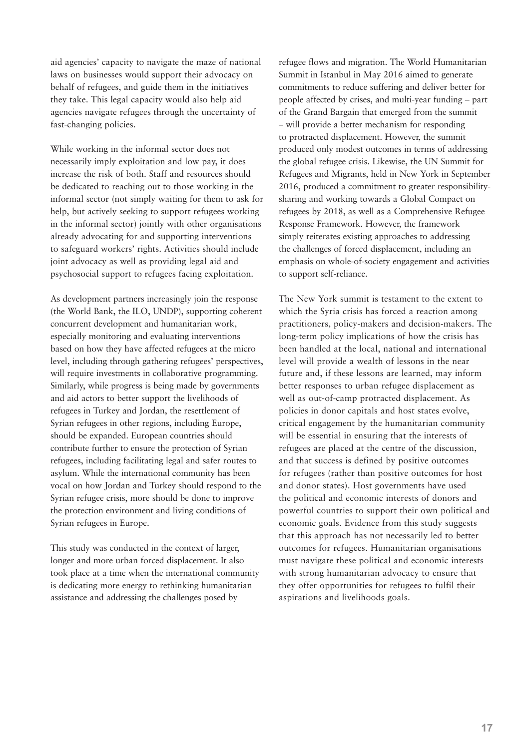aid agencies' capacity to navigate the maze of national laws on businesses would support their advocacy on behalf of refugees, and guide them in the initiatives they take. This legal capacity would also help aid agencies navigate refugees through the uncertainty of fast-changing policies.

While working in the informal sector does not necessarily imply exploitation and low pay, it does increase the risk of both. Staff and resources should be dedicated to reaching out to those working in the informal sector (not simply waiting for them to ask for help, but actively seeking to support refugees working in the informal sector) jointly with other organisations already advocating for and supporting interventions to safeguard workers' rights. Activities should include joint advocacy as well as providing legal aid and psychosocial support to refugees facing exploitation.

As development partners increasingly join the response (the World Bank, the ILO, UNDP), supporting coherent concurrent development and humanitarian work, especially monitoring and evaluating interventions based on how they have affected refugees at the micro level, including through gathering refugees' perspectives, will require investments in collaborative programming. Similarly, while progress is being made by governments and aid actors to better support the livelihoods of refugees in Turkey and Jordan, the resettlement of Syrian refugees in other regions, including Europe, should be expanded. European countries should contribute further to ensure the protection of Syrian refugees, including facilitating legal and safer routes to asylum. While the international community has been vocal on how Jordan and Turkey should respond to the Syrian refugee crisis, more should be done to improve the protection environment and living conditions of Syrian refugees in Europe.

This study was conducted in the context of larger, longer and more urban forced displacement. It also took place at a time when the international community is dedicating more energy to rethinking humanitarian assistance and addressing the challenges posed by

refugee flows and migration. The World Humanitarian Summit in Istanbul in May 2016 aimed to generate commitments to reduce suffering and deliver better for people affected by crises, and multi-year funding – part of the Grand Bargain that emerged from the summit – will provide a better mechanism for responding to protracted displacement. However, the summit produced only modest outcomes in terms of addressing the global refugee crisis. Likewise, the UN Summit for Refugees and Migrants, held in New York in September 2016, produced a commitment to greater responsibilitysharing and working towards a Global Compact on refugees by 2018, as well as a Comprehensive Refugee Response Framework. However, the framework simply reiterates existing approaches to addressing the challenges of forced displacement, including an emphasis on whole-of-society engagement and activities to support self-reliance.

The New York summit is testament to the extent to which the Syria crisis has forced a reaction among practitioners, policy-makers and decision-makers. The long-term policy implications of how the crisis has been handled at the local, national and international level will provide a wealth of lessons in the near future and, if these lessons are learned, may inform better responses to urban refugee displacement as well as out-of-camp protracted displacement. As policies in donor capitals and host states evolve, critical engagement by the humanitarian community will be essential in ensuring that the interests of refugees are placed at the centre of the discussion, and that success is defined by positive outcomes for refugees (rather than positive outcomes for host and donor states). Host governments have used the political and economic interests of donors and powerful countries to support their own political and economic goals. Evidence from this study suggests that this approach has not necessarily led to better outcomes for refugees. Humanitarian organisations must navigate these political and economic interests with strong humanitarian advocacy to ensure that they offer opportunities for refugees to fulfil their aspirations and livelihoods goals.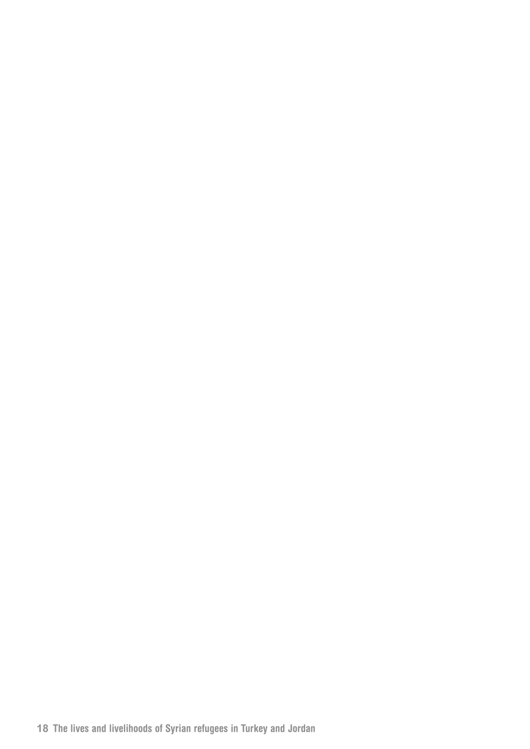**The lives and livelihoods of Syrian refugees in Turkey and Jordan**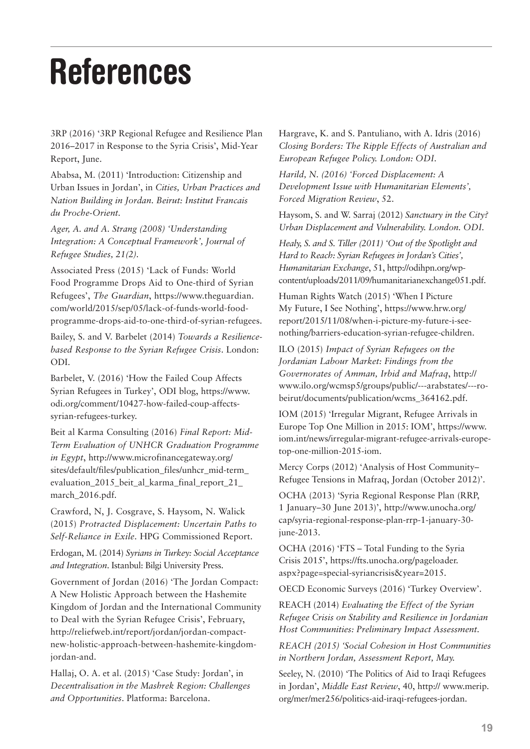## **References**

3RP (2016) '3RP Regional Refugee and Resilience Plan 2016–2017 in Response to the Syria Crisis', Mid-Year Report, June.

Ababsa, M. (2011) 'Introduction: Citizenship and Urban Issues in Jordan', in *Cities, Urban Practices and Nation Building in Jordan. Beirut: Institut Francais du Proche-Orient.*

*Ager, A. and A. Strang (2008) 'Understanding Integration: A Conceptual Framework', Journal of Refugee Studies, 21(2).*

Associated Press (2015) 'Lack of Funds: World Food Programme Drops Aid to One-third of Syrian Refugees', *The Guardian*, https://www.theguardian. com/world/2015/sep/05/lack-of-funds-world-foodprogramme-drops-aid-to-one-third-of-syrian-refugees.

Bailey, S. and V. Barbelet (2014) *Towards a Resiliencebased Response to the Syrian Refugee Crisis*. London: ODI.

Barbelet, V. (2016) 'How the Failed Coup Affects Syrian Refugees in Turkey', ODI blog, https://www. odi.org/comment/10427-how-failed-coup-affectssyrian-refugees-turkey.

Beit al Karma Consulting (2016) *Final Report: Mid-Term Evaluation of UNHCR Graduation Programme in Egypt*, http://www.microfinancegateway.org/ sites/default/files/publication\_files/unhcr\_mid-term evaluation\_2015\_beit\_al\_karma\_final\_report\_21\_ march\_2016.pdf.

Crawford, N, J. Cosgrave, S. Haysom, N. Walick (2015) *Protracted Displacement: Uncertain Paths to Self-Reliance in Exile*. HPG Commissioned Report.

Erdogan, M. (2014) *Syrians in Turkey: Social Acceptance and Integration*. Istanbul: Bilgi University Press.

Government of Jordan (2016) 'The Jordan Compact: A New Holistic Approach between the Hashemite Kingdom of Jordan and the International Community to Deal with the Syrian Refugee Crisis', February, http://reliefweb.int/report/jordan/jordan-compactnew-holistic-approach-between-hashemite-kingdomjordan-and.

Hallaj, O. A. et al. (2015) 'Case Study: Jordan', in *Decentralisation in the Mashrek Region: Challenges and Opportunities*. Platforma: Barcelona.

Hargrave, K. and S. Pantuliano, with A. Idris (2016) *Closing Borders: The Ripple Effects of Australian and European Refugee Policy. London: ODI.* 

*Harild, N. (2016) 'Forced Displacement: A Development Issue with Humanitarian Elements', Forced Migration Review*, 52.

Haysom, S. and W. Sarraj (2012) *Sanctuary in the City? Urban Displacement and Vulnerability. London. ODI.*

*Healy, S. and S. Tiller (2011) 'Out of the Spotlight and Hard to Reach: Syrian Refugees in Jordan's Cities', Humanitarian Exchange*, 51, http://odihpn.org/wpcontent/uploads/2011/09/humanitarianexchange051.pdf.

Human Rights Watch (2015) 'When I Picture My Future, I See Nothing', https://www.hrw.org/ report/2015/11/08/when-i-picture-my-future-i-seenothing/barriers-education-syrian-refugee-children.

ILO (2015) *Impact of Syrian Refugees on the Jordanian Labour Market: Findings from the Governorates of Amman, Irbid and Mafraq*, http:// www.ilo.org/wcmsp5/groups/public/---arabstates/---robeirut/documents/publication/wcms\_364162.pdf.

IOM (2015) 'Irregular Migrant, Refugee Arrivals in Europe Top One Million in 2015: IOM', https://www. iom.int/news/irregular-migrant-refugee-arrivals-europetop-one-million-2015-iom.

Mercy Corps (2012) 'Analysis of Host Community– Refugee Tensions in Mafraq, Jordan (October 2012)'.

OCHA (2013) 'Syria Regional Response Plan (RRP, 1 January–30 June 2013)', http://www.unocha.org/ cap/syria-regional-response-plan-rrp-1-january-30 june-2013.

OCHA (2016) 'FTS – Total Funding to the Syria Crisis 2015', https://fts.unocha.org/pageloader. aspx?page=special-syriancrisis&year=2015.

OECD Economic Surveys (2016) 'Turkey Overview'.

REACH (2014) *Evaluating the Effect of the Syrian Refugee Crisis on Stability and Resilience in Jordanian Host Communities: Preliminary Impact Assessment.* 

*REACH (2015) 'Social Cohesion in Host Communities in Northern Jordan, Assessment Report, May.* 

Seeley, N. (2010) 'The Politics of Aid to Iraqi Refugees in Jordan', *Middle East Review*, 40, http:// www.merip. org/mer/mer256/politics-aid-iraqi-refugees-jordan.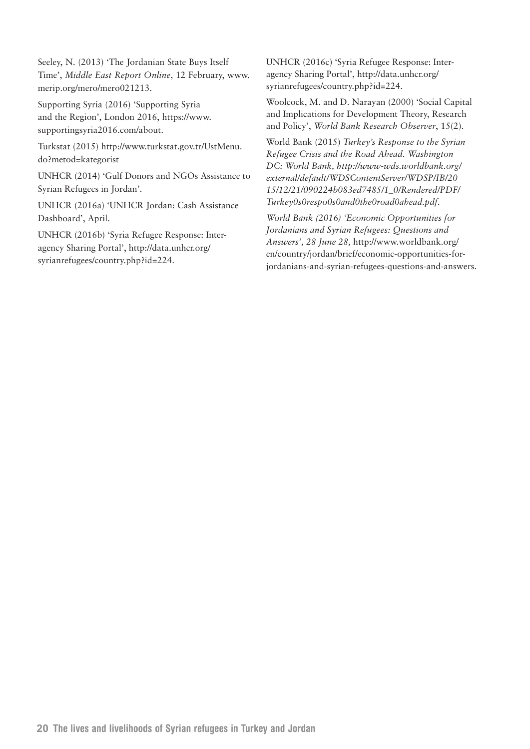Seeley, N. (2013) 'The Jordanian State Buys Itself Time', *Middle East Report Online*, 12 February, www. merip.org/mero/mero021213.

Supporting Syria (2016) 'Supporting Syria and the Region', London 2016, https://www. supportingsyria2016.com/about.

Turkstat (2015) http://www.turkstat.gov.tr/UstMenu. do?metod=kategorist

UNHCR (2014) 'Gulf Donors and NGOs Assistance to Syrian Refugees in Jordan'.

UNHCR (2016a) 'UNHCR Jordan: Cash Assistance Dashboard', April.

UNHCR (2016b) 'Syria Refugee Response: Interagency Sharing Portal', http://data.unhcr.org/ syrianrefugees/country.php?id=224.

UNHCR (2016c) 'Syria Refugee Response: Interagency Sharing Portal', http://data.unhcr.org/ syrianrefugees/country.php?id=224.

Woolcock, M. and D. Narayan (2000) 'Social Capital and Implications for Development Theory, Research and Policy', *World Bank Research Observer*, 15(2).

World Bank (2015) *Turkey's Response to the Syrian Refugee Crisis and the Road Ahead. Washington DC: World Bank, http://www-wds.worldbank.org/ external/default/WDSContentServer/WDSP/IB/20 15/12/21/090224b083ed7485/1\_0/Rendered/PDF/ Turkey0s0respo0s0and0the0road0ahead.pdf.*

*World Bank (2016) 'Economic Opportunities for Jordanians and Syrian Refugees: Questions and Answers', 28 June 28,* http://www.worldbank.org/ en/country/jordan/brief/economic-opportunities-forjordanians-and-syrian-refugees-questions-and-answers.